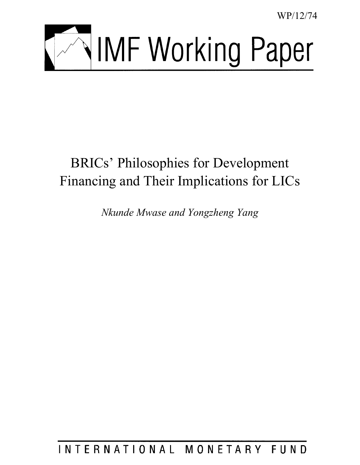WP/12/74



# BRICs' Philosophies for Development Financing and Their Implications for LICs

*Nkunde Mwase and Yongzheng Yang* 

INTERNATIONAL MONETARY FUND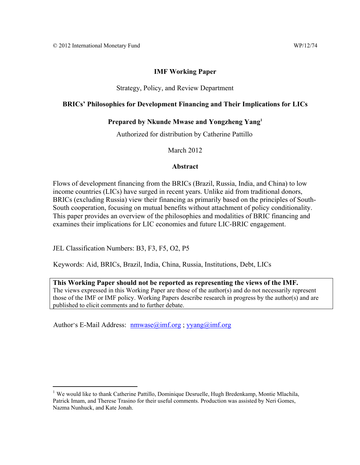#### **IMF Working Paper**

#### Strategy, Policy, and Review Department

#### **BRICs' Philosophies for Development Financing and Their Implications for LICs**

#### **Prepared by Nkunde Mwase and Yongzheng Yang1**

Authorized for distribution by Catherine Pattillo

March 2012

#### **Abstract**

Flows of development financing from the BRICs (Brazil, Russia, India, and China) to low income countries (LICs) have surged in recent years. Unlike aid from traditional donors, BRICs (excluding Russia) view their financing as primarily based on the principles of South-South cooperation, focusing on mutual benefits without attachment of policy conditionality. This paper provides an overview of the philosophies and modalities of BRIC financing and examines their implications for LIC economies and future LIC-BRIC engagement.

JEL Classification Numbers: B3, F3, F5, O2, P5

 $\overline{a}$ 

Keywords: Aid, BRICs, Brazil, India, China, Russia, Institutions, Debt, LICs

**This Working Paper should not be reported as representing the views of the IMF.** The views expressed in this Working Paper are those of the author(s) and do not necessarily represent those of the IMF or IMF policy. Working Papers describe research in progress by the author(s) and are published to elicit comments and to further debate.

Author's E-Mail Address: nmwase@imf.org ; yyang@imf.org

<sup>&</sup>lt;sup>1</sup> We would like to thank Catherine Pattillo, Dominique Desruelle, Hugh Bredenkamp, Montie Mlachila, Patrick Imam, and Therese Trasino for their useful comments. Production was assisted by Neri Gomes, Nazma Nunhuck, and Kate Jonah.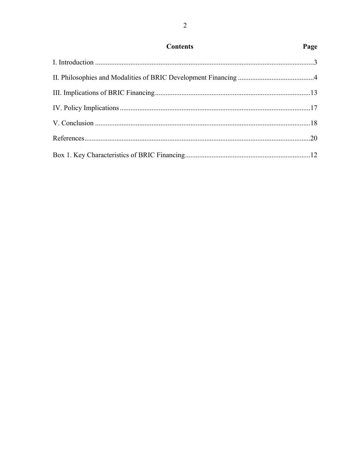| <b>Contents</b> | Page |
|-----------------|------|
|                 |      |
|                 |      |
|                 |      |
|                 |      |
|                 |      |
|                 |      |
|                 |      |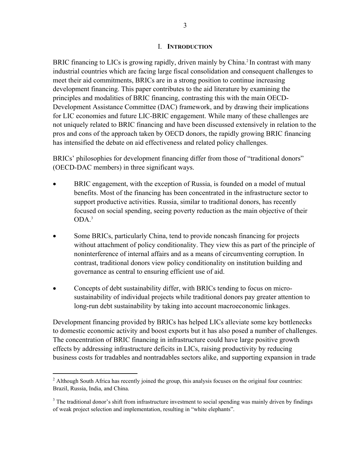#### I. **INTRODUCTION**

BRIC financing to LICs is growing rapidly, driven mainly by China.<sup>2</sup> In contrast with many industrial countries which are facing large fiscal consolidation and consequent challenges to meet their aid commitments, BRICs are in a strong position to continue increasing development financing. This paper contributes to the aid literature by examining the principles and modalities of BRIC financing, contrasting this with the main OECD-Development Assistance Committee (DAC) framework, and by drawing their implications for LIC economies and future LIC-BRIC engagement. While many of these challenges are not uniquely related to BRIC financing and have been discussed extensively in relation to the pros and cons of the approach taken by OECD donors, the rapidly growing BRIC financing has intensified the debate on aid effectiveness and related policy challenges.

BRICs' philosophies for development financing differ from those of "traditional donors" (OECD-DAC members) in three significant ways.

- BRIC engagement, with the exception of Russia, is founded on a model of mutual benefits. Most of the financing has been concentrated in the infrastructure sector to support productive activities. Russia, similar to traditional donors, has recently focused on social spending, seeing poverty reduction as the main objective of their ODA.<sup>3</sup>
- Some BRICs, particularly China, tend to provide noncash financing for projects without attachment of policy conditionality. They view this as part of the principle of noninterference of internal affairs and as a means of circumventing corruption. In contrast, traditional donors view policy conditionality on institution building and governance as central to ensuring efficient use of aid.
- Concepts of debt sustainability differ, with BRICs tending to focus on microsustainability of individual projects while traditional donors pay greater attention to long-run debt sustainability by taking into account macroeconomic linkages.

Development financing provided by BRICs has helped LICs alleviate some key bottlenecks to domestic economic activity and boost exports but it has also posed a number of challenges. The concentration of BRIC financing in infrastructure could have large positive growth effects by addressing infrastructure deficits in LICs, raising productivity by reducing business costs for tradables and nontradables sectors alike, and supporting expansion in trade

 $2$  Although South Africa has recently joined the group, this analysis focuses on the original four countries: Brazil, Russia, India, and China.

 $3$  The traditional donor's shift from infrastructure investment to social spending was mainly driven by findings of weak project selection and implementation, resulting in "white elephants".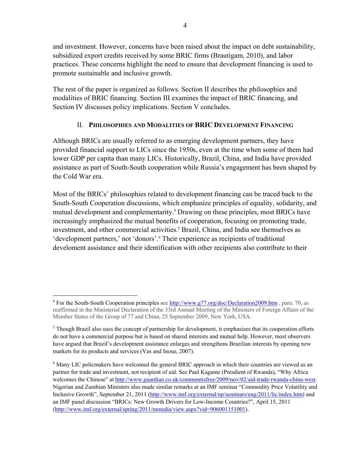and investment. However, concerns have been raised about the impact on debt sustainability, subsidized export credits received by some BRIC firms (Brautigam, 2010), and labor practices. These concerns highlight the need to ensure that development financing is used to promote sustainable and inclusive growth.

The rest of the paper is organized as follows. Section II describes the philosophies and modalities of BRIC financing. Section III examines the impact of BRIC financing, and Section IV discusses policy implications. Section V concludes.

## II. **PHILOSOPHIES AND MODALITIES OF BRIC DEVELOPMENT FINANCING**

Although BRICs are usually referred to as emerging development partners, they have provided financial support to LICs since the 1950s, even at the time when some of them had lower GDP per capita than many LICs. Historically, Brazil, China, and India have provided assistance as part of South-South cooperation while Russia's engagement has been shaped by the Cold War era.

Most of the BRICs' philosophies related to development financing can be traced back to the South-South Cooperation discussions, which emphasize principles of equality, solidarity, and mutual development and complementarity.<sup>4</sup> Drawing on these principles, most BRICs have increasingly emphasized the mutual benefits of cooperation, focusing on promoting trade, investment, and other commercial activities.<sup>5</sup> Brazil, China, and India see themselves as 'development partners,' not 'donors'.<sup>6</sup> Their experience as recipients of traditional develoment assistance and their identification with other recipients also contribute to their

<sup>&</sup>lt;sup>4</sup> For the South-South Cooperation principles see **http://www.g77.org/doc/Declaration2009.htm**, para. 70, as reaffirmed in the Ministerial Declaration of the 33rd Annual Meeting of the Ministers of Foreign Affairs of the Member States of the Group of 77 and China, 25 September 2009, New York, USA.

 $<sup>5</sup>$  Though Brazil also uses the concept of partnership for development, it emphasizes that its cooperation efforts</sup> do not have a commercial purpose but is based on shared interests and mutual help. However, most observers have argued that Brazil's development assistance enlarges and strengthens Brazilian interests by opening new markets for its products and services (Vas and Inoue, 2007).

<sup>&</sup>lt;sup>6</sup> Many LIC policmakers have welcomed the general BRIC approach in which their countries are viewed as an partner for trade and investment, not recipient of aid. See Paul Kagame (Presdient of Rwanda), "Why Africa welcomes the Chinese" at http://www.guardian.co.uk/commentisfree/2009/nov/02/aid-trade-rwanda-china-west. Nigerian and Zambian Ministers also made similar remarks at an IMF seminar "Commodity Price Volatility and Inclusive Growth", September 21, 2011 (http://www.imf.org/external/np/seminars/eng/2011/lic/index.htm) and an IMF panel discussion "BRICs: New Growth Drivers for Low-Income Countries?", April 15, 2011 (http://www.imf.org/external/spring/2011/mmedia/view.aspx?vid=906001151001).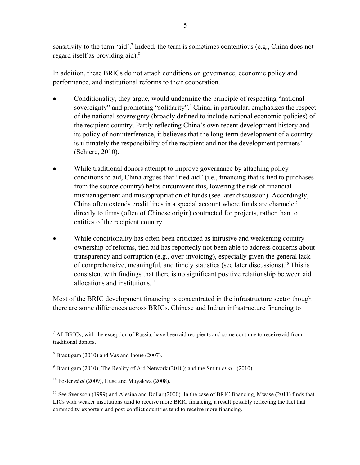sensitivity to the term 'aid'.<sup>7</sup> Indeed, the term is sometimes contentious (e.g., China does not regard itself as providing aid).<sup>8</sup>

In addition, these BRICs do not attach conditions on governance, economic policy and performance, and institutional reforms to their cooperation.

- Conditionality, they argue, would undermine the principle of respecting "national sovereignty" and promoting "solidarity".<sup>9</sup> China, in particular, emphasizes the respect of the national sovereignty (broadly defined to include national economic policies) of the recipient country. Partly reflecting China's own recent development history and its policy of noninterference, it believes that the long-term development of a country is ultimately the responsibility of the recipient and not the development partners' (Schiere, 2010).
- While traditional donors attempt to improve governance by attaching policy conditions to aid, China argues that "tied aid" (i.e., financing that is tied to purchases from the source country) helps circumvent this, lowering the risk of financial mismanagement and misappropriation of funds (see later discussion). Accordingly, China often extends credit lines in a special account where funds are channeled directly to firms (often of Chinese origin) contracted for projects, rather than to entities of the recipient country.
- While conditionality has often been criticized as intrusive and weakening country ownership of reforms, tied aid has reportedly not been able to address concerns about transparency and corruption (e.g., over-invoicing), especially given the general lack of comprehensive, meaningful, and timely statistics (see later discussions).10 This is consistent with findings that there is no significant positive relationship between aid allocations and institutions.<sup>11</sup>

Most of the BRIC development financing is concentrated in the infrastructure sector though there are some differences across BRICs. Chinese and Indian infrastructure financing to

 $<sup>7</sup>$  All BRICs, with the exception of Russia, have been aid recipients and some continue to receive aid from</sup> traditional donors.

<sup>&</sup>lt;sup>8</sup> Brautigam (2010) and Vas and Inoue (2007).

<sup>9</sup> Brautigam (2010); The Reality of Aid Network (2010); and the Smith *et al.,* (2010).

<sup>10</sup> Foster *et al* (2009), Huse and Muyakwa (2008).

<sup>&</sup>lt;sup>11</sup> See Svensson (1999) and Alesina and Dollar (2000). In the case of BRIC financing, Mwase (2011) finds that LICs with weaker institutions tend to receive more BRIC financing, a result possibly reflecting the fact that commodity-exporters and post-conflict countries tend to receive more financing.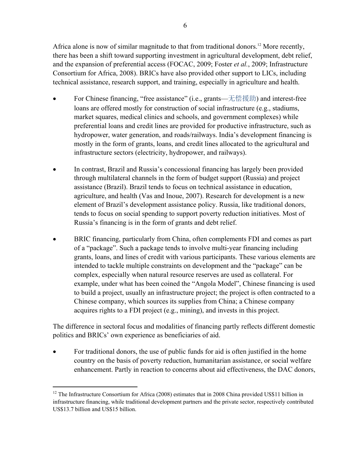Africa alone is now of similar magnitude to that from traditional donors.<sup>12</sup> More recently, there has been a shift toward supporting investment in agricultural development, debt relief, and the expansion of preferential access (FOCAC, 2009; Foster *et al.*, 2009; Infrastructure Consortium for Africa, 2008). BRICs have also provided other support to LICs, including technical assistance, research support, and training, especially in agriculture and health.

- For Chinese financing, "free assistance" (i.e., grants——无偿援助) and interest-free loans are offered mostly for construction of social infrastructure (e.g., stadiums, market squares, medical clinics and schools, and government complexes) while preferential loans and credit lines are provided for productive infrastructure, such as hydropower, water generation, and roads/railways. India's development financing is mostly in the form of grants, loans, and credit lines allocated to the agricultural and infrastructure sectors (electricity, hydropower, and railways).
- In contrast, Brazil and Russia's concessional financing has largely been provided through multilateral channels in the form of budget support (Russia) and project assistance (Brazil). Brazil tends to focus on technical assistance in education, agriculture, and health (Vas and Inoue, 2007). Research for development is a new element of Brazil's development assistance policy. Russia, like traditional donors, tends to focus on social spending to support poverty reduction initiatives. Most of Russia's financing is in the form of grants and debt relief.
- BRIC financing, particularly from China, often complements FDI and comes as part of a "package". Such a package tends to involve multi-year financing including grants, loans, and lines of credit with various participants. These various elements are intended to tackle multiple constraints on development and the "package" can be complex, especially when natural resource reserves are used as collateral. For example, under what has been coined the "Angola Model", Chinese financing is used to build a project, usually an infrastructure project; the project is often contracted to a Chinese company, which sources its supplies from China; a Chinese company acquires rights to a FDI project (e.g., mining), and invests in this project.

The difference in sectoral focus and modalities of financing partly reflects different domestic politics and BRICs' own experience as beneficiaries of aid.

• For traditional donors, the use of public funds for aid is often justified in the home country on the basis of poverty reduction, humanitarian assistance, or social welfare enhancement. Partly in reaction to concerns about aid effectiveness, the DAC donors,

 $12$  The Infrastructure Consortium for Africa (2008) estimates that in 2008 China provided US\$11 billion in infrastructure financing, while traditional development partners and the private sector, respectively contributed US\$13.7 billion and US\$15 billion.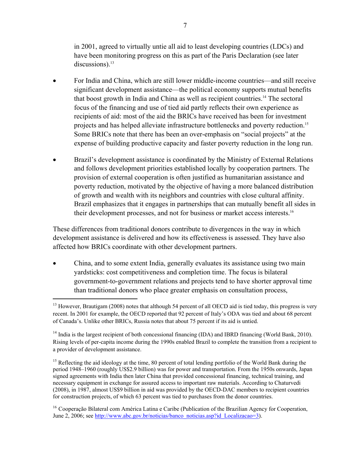in 2001, agreed to virtually untie all aid to least developing countries (LDCs) and have been monitoring progress on this as part of the Paris Declaration (see later discussions). $^{13}$ 

- For India and China, which are still lower middle-income countries—and still receive significant development assistance—the political economy supports mutual benefits that boost growth in India and China as well as recipient countries.14 The sectoral focus of the financing and use of tied aid partly reflects their own experience as recipients of aid: most of the aid the BRICs have received has been for investment projects and has helped alleviate infrastructure bottlenecks and poverty reduction.15 Some BRICs note that there has been an over-emphasis on "social projects" at the expense of building productive capacity and faster poverty reduction in the long run.
- Brazil's development assistance is coordinated by the Ministry of External Relations and follows development priorities established locally by cooperation partners. The provision of external cooperation is often justified as humanitarian assistance and poverty reduction, motivated by the objective of having a more balanced distribution of growth and wealth with its neighbors and countries with close cultural affinity. Brazil emphasizes that it engages in partnerships that can mutually benefit all sides in their development processes, and not for business or market access interests.16

These differences from traditional donors contribute to divergences in the way in which development assistance is delivered and how its effectiveness is assessed. They have also affected how BRICs coordinate with other development partners.

 China, and to some extent India, generally evaluates its assistance using two main yardsticks: cost competitiveness and completion time. The focus is bilateral government-to-government relations and projects tend to have shorter approval time than traditional donors who place greater emphasis on consultation process, <u>.</u>

<sup>&</sup>lt;sup>13</sup> However, Brautigam (2008) notes that although 54 percent of all OECD aid is tied today, this progress is very recent. In 2001 for example, the OECD reported that 92 percent of Italy's ODA was tied and about 68 percent of Canada's. Unlike other BRICs, Russia notes that about 75 percent if its aid is untied.

<sup>&</sup>lt;sup>14</sup> India is the largest recipient of both concessional financing (IDA) and IBRD financing (World Bank, 2010). Rising levels of per-capita income during the 1990s enabled Brazil to complete the transition from a recipient to a provider of development assistance.

<sup>&</sup>lt;sup>15</sup> Reflecting the aid ideology at the time, 80 percent of total lending portfolio of the World Bank during the period 1948–1960 (roughly US\$2.9 billion) was for power and transportation. From the 1950s onwards, Japan signed agreements with India then later China that provided concessional financing, technical training, and necessary equipment in exchange for assured access to important raw materials. According to Chaturvedi (2008), in 1987, almost US\$9 billion in aid was provided by the OECD-DAC members to recipient countries for construction projects, of which 63 percent was tied to purchases from the donor countries.

<sup>&</sup>lt;sup>16</sup> Cooperação Bilateral com América Latina e Caribe (Publication of the Brazilian Agency for Cooperation, June 2, 2006; see http://www.abc.gov.br/noticias/banco\_noticias.asp?id\_Localizacao=3).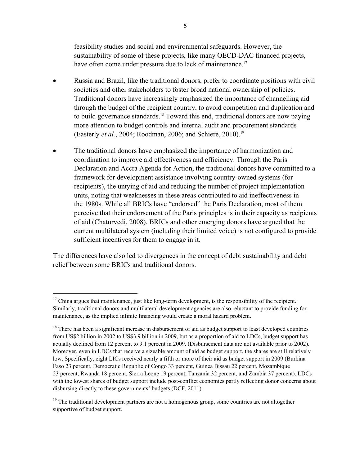feasibility studies and social and environmental safeguards. However, the sustainability of some of these projects, like many OECD-DAC financed projects, have often come under pressure due to lack of maintenance.<sup>17</sup>

- Russia and Brazil, like the traditional donors, prefer to coordinate positions with civil societies and other stakeholders to foster broad national ownership of policies. Traditional donors have increasingly emphasized the importance of channelling aid through the budget of the recipient country, to avoid competition and duplication and to build governance standards.<sup>18</sup> Toward this end, traditional donors are now paying more attention to budget controls and internal audit and procurement standards (Easterly *et al.*, 2004; Roodman, 2006; and Schiere, 2010).<sup>19</sup>
- The traditional donors have emphasized the importance of harmonization and coordination to improve aid effectiveness and efficiency. Through the Paris Declaration and Accra Agenda for Action, the traditional donors have committed to a framework for development assistance involving country-owned systems (for recipients), the untying of aid and reducing the number of project implementation units, noting that weaknesses in these areas contributed to aid ineffectiveness in the 1980s. While all BRICs have "endorsed" the Paris Declaration, most of them perceive that their endorsement of the Paris principles is in their capacity as recipients of aid (Chaturvedi, 2008). BRICs and other emerging donors have argued that the current multilateral system (including their limited voice) is not configured to provide sufficient incentives for them to engage in it.

The differences have also led to divergences in the concept of debt sustainability and debt relief between some BRICs and traditional donors.

 $17$  China argues that maintenance, just like long-term development, is the responsibility of the recipient. Similarly, traditional donors and multilateral development agencies are also reluctant to provide funding for maintenance, as the implied infinite financing would create a moral hazard problem.

<sup>&</sup>lt;sup>18</sup> There has been a significant increase in disbursement of aid as budget support to least developed countries from US\$2 billion in 2002 to US\$3.9 billion in 2009, but as a proportion of aid to LDCs, budget support has actually declined from 12 percent to 9.1 percent in 2009. (Disbursement data are not available prior to 2002). Moreover, even in LDCs that receive a sizeable amount of aid as budget support, the shares are still relatively low. Specifically, eight LICs received nearly a fifth or more of their aid as budget support in 2009 (Burkina Faso 23 percent, Democratic Republic of Congo 33 percent, Guinea Bissau 22 percent, Mozambique 23 percent, Rwanda 18 percent, Sierra Leone 19 percent, Tanzania 32 percent, and Zambia 37 percent). LDCs with the lowest shares of budget support include post-conflict economies partly reflecting donor concerns about disbursing directly to these governments' budgets (DCF, 2011).

<sup>&</sup>lt;sup>19</sup> The traditional development partners are not a homogenous group, some countries are not altogether supportive of budget support.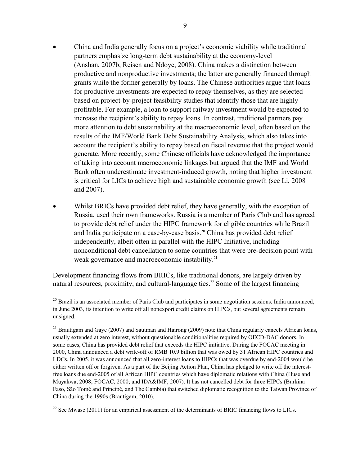- China and India generally focus on a project's economic viability while traditional partners emphasize long-term debt sustainability at the economy-level (Anshan, 2007b, Reisen and Ndoye, 2008). China makes a distinction between productive and nonproductive investments; the latter are generally financed through grants while the former generally by loans. The Chinese authorities argue that loans for productive investments are expected to repay themselves, as they are selected based on project-by-project feasibility studies that identify those that are highly profitable. For example, a loan to support railway investment would be expected to increase the recipient's ability to repay loans. In contrast, traditional partners pay more attention to debt sustainability at the macroeconomic level, often based on the results of the IMF/World Bank Debt Sustainability Analysis, which also takes into account the recipient's ability to repay based on fiscal revenue that the project would generate. More recently, some Chinese officials have acknowledged the importance of taking into account macroeconomic linkages but argued that the IMF and World Bank often underestimate investment-induced growth, noting that higher investment is critical for LICs to achieve high and sustainable economic growth (see Li, 2008 and 2007).
- Whilst BRICs have provided debt relief, they have generally, with the exception of Russia, used their own frameworks. Russia is a member of Paris Club and has agreed to provide debt relief under the HIPC framework for eligible countries while Brazil and India participate on a case-by-case basis.<sup>20</sup> China has provided debt relief independently, albeit often in parallel with the HIPC Initiative, including nonconditional debt cancellation to some countries that were pre-decision point with weak governance and macroeconomic instability.<sup>21</sup>

Development financing flows from BRICs, like traditional donors, are largely driven by natural resources, proximity, and cultural-language ties.<sup>22</sup> Some of the largest financing

<sup>&</sup>lt;sup>20</sup> Brazil is an associated member of Paris Club and participates in some negotiation sessions. India announced, in June 2003, its intention to write off all nonexport credit claims on HIPCs, but several agreements remain unsigned.

<sup>&</sup>lt;sup>21</sup> Brautigam and Gaye (2007) and Sautman and Hairong (2009) note that China regularly cancels African loans, usually extended at zero interest, without questionable conditionalities required by OECD-DAC donors. In some cases, China has provided debt relief that exceeds the HIPC initiative. During the FOCAC meeting in 2000, China announced a debt write-off of RMB 10.9 billion that was owed by 31 African HIPC countries and LDCs. In 2005, it was announced that all zero-interest loans to HIPCs that was overdue by end-2004 would be either written off or forgiven. As a part of the Beijing Action Plan, China has pledged to write off the interestfree loans due end-2005 of all African HIPC countries which have diplomatic relations with China (Huse and Muyakwa, 2008; FOCAC, 2000; and IDA&IMF, 2007). It has not cancelled debt for three HIPCs (Burkina Faso, São Tomé and Principé, and The Gambia) that switched diplomatic recognition to the Taiwan Province of China during the 1990s (Brautigam, 2010).

 $22$  See Mwase (2011) for an empirical assessment of the determinants of BRIC financing flows to LICs.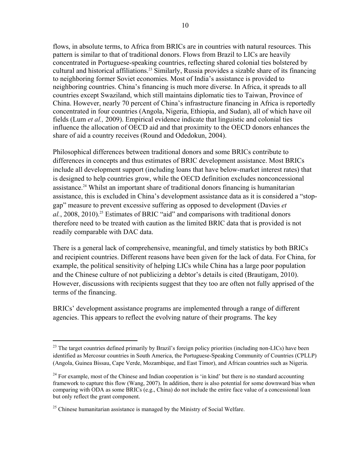flows, in absolute terms, to Africa from BRICs are in countries with natural resources. This pattern is similar to that of traditional donors. Flows from Brazil to LICs are heavily concentrated in Portuguese-speaking countries, reflecting shared colonial ties bolstered by cultural and historical affiliations.<sup>23</sup> Similarly, Russia provides a sizable share of its financing to neighboring former Soviet economies. Most of India's assistance is provided to neighboring countries. China's financing is much more diverse. In Africa, it spreads to all countries except Swaziland, which still maintains diplomatic ties to Taiwan, Province of China. However, nearly 70 percent of China's infrastructure financing in Africa is reportedly concentrated in four countries (Angola, Nigeria, Ethiopia, and Sudan), all of which have oil fields (Lum *et al.,* 2009). Empirical evidence indicate that linguistic and colonial ties influence the allocation of OECD aid and that proximity to the OECD donors enhances the share of aid a country receives (Round and Odedokun, 2004).

Philosophical differences between traditional donors and some BRICs contribute to differences in concepts and thus estimates of BRIC development assistance. Most BRICs include all development support (including loans that have below-market interest rates) that is designed to help countries grow, while the OECD definition excludes nonconcessional assistance.24 Whilst an important share of traditional donors financing is humanitarian assistance, this is excluded in China's development assistance data as it is considered a "stopgap" measure to prevent excessive suffering as opposed to development (Davies *et*  al., 2008, 2010).<sup>25</sup> Estimates of BRIC "aid" and comparisons with traditional donors therefore need to be treated with caution as the limited BRIC data that is provided is not readily comparable with DAC data.

There is a general lack of comprehensive, meaningful, and timely statistics by both BRICs and recipient countries. Different reasons have been given for the lack of data. For China, for example, the political sensitivity of helping LICs while China has a large poor population and the Chinese culture of not publicizing a debtor's details is cited (Brautigam, 2010). However, discussions with recipients suggest that they too are often not fully apprised of the terms of the financing.

BRICs' development assistance programs are implemented through a range of different agencies. This appears to reflect the evolving nature of their programs. The key

<sup>&</sup>lt;sup>23</sup> The target countries defined primarily by Brazil's foreign policy priorities (including non-LICs) have been identified as Mercosur countries in South America, the Portuguese-Speaking Community of Countries (CPLLP) (Angola, Guinea Bissau, Cape Verde, Mozambique, and East Timor), and African countries such as Nigeria.

 $24$  For example, most of the Chinese and Indian cooperation is 'in kind' but there is no standard accounting framework to capture this flow (Wang, 2007). In addition, there is also potential for some downward bias when comparing with ODA as some BRICs (e.g., China) do not include the entire face value of a concessional loan but only reflect the grant component.

 $25$  Chinese humanitarian assistance is managed by the Ministry of Social Welfare.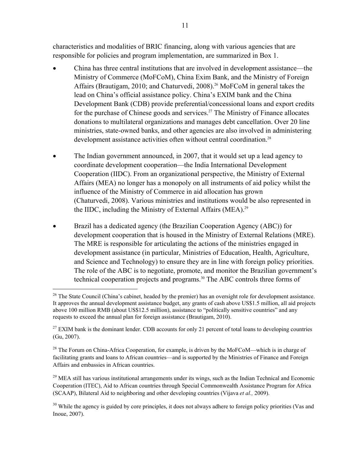characteristics and modalities of BRIC financing, along with various agencies that are responsible for policies and program implementation, are summarized in Box 1.

- China has three central institutions that are involved in development assistance—the Ministry of Commerce (MoFCoM), China Exim Bank, and the Ministry of Foreign Affairs (Brautigam, 2010; and Chaturvedi, 2008).<sup>26</sup> MoFCoM in general takes the lead on China's official assistance policy. China's EXIM bank and the China Development Bank (CDB) provide preferential/concessional loans and export credits for the purchase of Chinese goods and services.<sup>27</sup> The Ministry of Finance allocates donations to multilateral organizations and manages debt cancellation. Over 20 line ministries, state-owned banks, and other agencies are also involved in administering development assistance activities often without central coordination.<sup>28</sup>
- The Indian government announced, in 2007, that it would set up a lead agency to coordinate development cooperation—the India International Development Cooperation (IIDC). From an organizational perspective, the Ministry of External Affairs (MEA) no longer has a monopoly on all instruments of aid policy whilst the influence of the Ministry of Commerce in aid allocation has grown (Chaturvedi, 2008). Various ministries and institutions would be also represented in the IIDC, including the Ministry of External Affairs (MEA).<sup>29</sup>
- Brazil has a dedicated agency (the Brazilian Cooperation Agency (ABC)) for development cooperation that is housed in the Ministry of External Relations (MRE). The MRE is responsible for articulating the actions of the ministries engaged in development assistance (in particular, Ministries of Education, Health, Agriculture, and Science and Technology) to ensure they are in line with foreign policy priorities. The role of the ABC is to negotiate, promote, and monitor the Brazilian government's technical cooperation projects and programs.30 The ABC controls three forms of

 $\overline{a}$ 

 $^{29}$  MEA still has various institutional arrangements under its wings, such as the Indian Technical and Economic Cooperation (ITEC), Aid to African countries through Special Commonwealth Assistance Program for Africa (SCAAP), Bilateral Aid to neighboring and other developing countries (Vijava *et al.,* 2009).

 $30$  While the agency is guided by core principles, it does not always adhere to foreign policy priorities (Vas and Inoue, 2007).

<sup>&</sup>lt;sup>26</sup> The State Council (China's cabinet, headed by the premier) has an oversight role for development assistance. It approves the annual development assistance budget, any grants of cash above US\$1.5 million, all aid projects above 100 million RMB (about US\$12.5 million), assistance to "politically sensitive countries" and any requests to exceed the annual plan for foreign assistance (Brautigam, 2010).

 $27$  EXIM bank is the dominant lender. CDB accounts for only 21 percent of total loans to developing countries (Gu, 2007).

<sup>&</sup>lt;sup>28</sup> The Forum on China-Africa Cooperation, for example, is driven by the MoFCoM—which is in charge of facilitating grants and loans to African countries—and is supported by the Ministries of Finance and Foreign Affairs and embassies in African countries.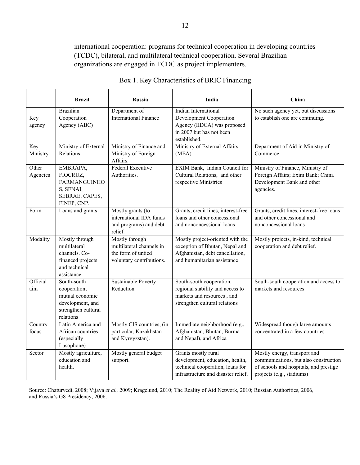international cooperation: programs for technical cooperation in developing countries (TCDC), bilateral, and multilateral technical cooperation. Several Brazilian organizations are engaged in TCDC as project implementers.

|                   | <b>Brazil</b>                                                                                          | <b>Russia</b>                                                                                | India                                                                                                                                | China                                                                                                                                        |  |
|-------------------|--------------------------------------------------------------------------------------------------------|----------------------------------------------------------------------------------------------|--------------------------------------------------------------------------------------------------------------------------------------|----------------------------------------------------------------------------------------------------------------------------------------------|--|
| Key<br>agency     | <b>Brazilian</b><br>Cooperation<br>Agency (ABC)                                                        | Department of<br><b>International Finance</b>                                                | Indian International<br>Development Cooperation<br>Agency (IIDCA) was proposed<br>in 2007 but has not been<br>established.           | No such agency yet, but discussions<br>to establish one are continuing.                                                                      |  |
| Key<br>Ministry   | Ministry of External<br>Relations                                                                      | Ministry of Finance and<br>Ministry of Foreign<br>Affairs.                                   | Department of Aid in Ministry of<br>Ministry of External Affairs<br>Commerce<br>(MEA)                                                |                                                                                                                                              |  |
| Other<br>Agencies | EMBRAPA,<br>FIOCRUZ,<br><b>FARMANGUINHO</b><br>S, SENAI,<br>SEBRAE, CAPES,<br>FINEP, CNP.              | Federal Executive<br>Authorities.                                                            | EXIM Bank, Indian Council for<br>Cultural Relations, and other<br>respective Ministries                                              | Ministry of Finance, Ministry of<br>Foreign Affairs; Exim Bank; China<br>Development Bank and other<br>agencies.                             |  |
| Form              | Loans and grants                                                                                       | Mostly grants (to<br>international IDA funds<br>and programs) and debt<br>relief.            | Grants, credit lines, interest-free<br>loans and other concessional<br>and nonconcessional loans                                     | Grants, credit lines, interest-free loans<br>and other concessional and<br>nonconcessional loans                                             |  |
| Modality          | Mostly through<br>multilateral<br>channels. Co-<br>financed projects<br>and technical<br>assistance    | Mostly through<br>multilateral channels in<br>the form of untied<br>voluntary contributions. | Mostly project-oriented with the<br>exception of Bhutan, Nepal and<br>Afghanistan, debt cancellation,<br>and humanitarian assistance | Mostly projects, in-kind, technical<br>cooperation and debt relief.                                                                          |  |
| Official<br>aim   | South-south<br>cooperation;<br>mutual economic<br>development, and<br>strengthen cultural<br>relations | <b>Sustainable Poverty</b><br>Reduction                                                      | South-south cooperation,<br>regional stability and access to<br>markets and resources, and<br>strengthen cultural relations          | South-south cooperation and access to<br>markets and resources                                                                               |  |
| Country<br>focus  | Latin America and<br>African countries<br>(especially<br>Lusophone)                                    | Mostly CIS countries, (in<br>particular, Kazakhstan<br>and Kyrgyzstan).                      | Immediate neighborhood (e.g.,<br>Afghanistan, Bhutan, Burma<br>and Nepal), and Africa                                                | Widespread though large amounts<br>concentrated in a few countries                                                                           |  |
| Sector            | Mostly agriculture,<br>education and<br>health.                                                        | Mostly general budget<br>support.                                                            | Grants mostly rural<br>development, education, health,<br>technical cooperation, loans for<br>infrastructure and disaster relief.    | Mostly energy, transport and<br>communications, but also construction<br>of schools and hospitals, and prestige<br>projects (e.g., stadiums) |  |

| Box 1. Key Characteristics of BRIC Financing |  |  |
|----------------------------------------------|--|--|
|                                              |  |  |

Source: Chaturvedi, 2008; Vijava *et al.,* 2009; Kragelund, 2010; The Reality of Aid Network, 2010; Russian Authorities, 2006, and Russia's G8 Presidency, 2006.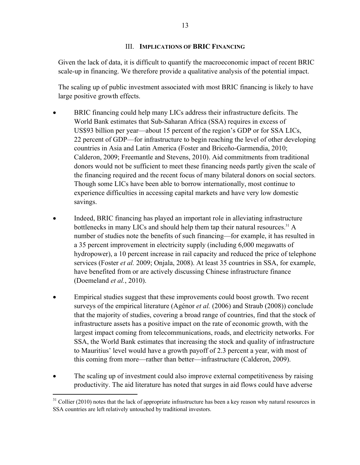### III. **IMPLICATIONS OF BRIC FINANCING**

Given the lack of data, it is difficult to quantify the macroeconomic impact of recent BRIC scale-up in financing. We therefore provide a qualitative analysis of the potential impact.

The scaling up of public investment associated with most BRIC financing is likely to have large positive growth effects.

- BRIC financing could help many LICs address their infrastructure deficits. The World Bank estimates that Sub-Saharan Africa (SSA) requires in excess of US\$93 billion per year—about 15 percent of the region's GDP or for SSA LICs, 22 percent of GDP—for infrastructure to begin reaching the level of other developing countries in Asia and Latin America (Foster and Briceño-Garmendia, 2010; Calderon, 2009; Freemantle and Stevens, 2010). Aid commitments from traditional donors would not be sufficient to meet these financing needs partly given the scale of the financing required and the recent focus of many bilateral donors on social sectors. Though some LICs have been able to borrow internationally, most continue to experience difficulties in accessing capital markets and have very low domestic savings.
- Indeed, BRIC financing has played an important role in alleviating infrastructure bottlenecks in many LICs and should help them tap their natural resources.<sup>31</sup> A number of studies note the benefits of such financing—for example, it has resulted in a 35 percent improvement in electricity supply (including 6,000 megawatts of hydropower), a 10 percent increase in rail capacity and reduced the price of telephone services (Foster *et al.* 2009; Onjala, 2008). At least 35 countries in SSA, for example, have benefited from or are actively discussing Chinese infrastructure finance (Doemeland *et al.*, 2010).
- Empirical studies suggest that these improvements could boost growth. Two recent surveys of the empirical literature (Agénor *et al.* (2006) and Straub (2008)) conclude that the majority of studies, covering a broad range of countries, find that the stock of infrastructure assets has a positive impact on the rate of economic growth, with the largest impact coming from telecommunications, roads, and electricity networks. For SSA, the World Bank estimates that increasing the stock and quality of infrastructure to Mauritius' level would have a growth payoff of 2.3 percent a year, with most of this coming from more—rather than better—infrastructure (Calderon, 2009).
- The scaling up of investment could also improve external competitiveness by raising productivity. The aid literature has noted that surges in aid flows could have adverse

 $31$  Collier (2010) notes that the lack of appropriate infrastructure has been a key reason why natural resources in SSA countries are left relatively untouched by traditional investors.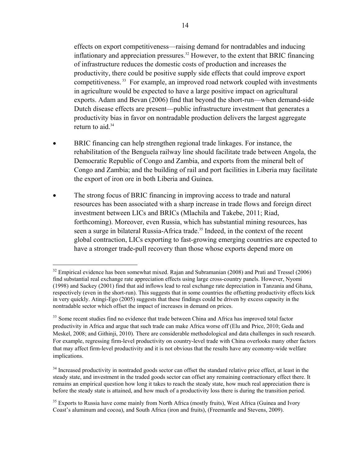effects on export competitiveness—raising demand for nontradables and inducing inflationary and appreciation pressures.<sup>32</sup> However, to the extent that BRIC financing of infrastructure reduces the domestic costs of production and increases the productivity, there could be positive supply side effects that could improve export competitiveness. 33 For example, an improved road network coupled with investments in agriculture would be expected to have a large positive impact on agricultural exports. Adam and Bevan (2006) find that beyond the short-run—when demand-side Dutch disease effects are present—public infrastructure investment that generates a productivity bias in favor on nontradable production delivers the largest aggregate return to aid. $34$ 

- BRIC financing can help strengthen regional trade linkages. For instance, the rehabilitation of the Benguela railway line should facilitate trade between Angola, the Democratic Republic of Congo and Zambia, and exports from the mineral belt of Congo and Zambia; and the building of rail and port facilities in Liberia may facilitate the export of iron ore in both Liberia and Guinea.
- The strong focus of BRIC financing in improving access to trade and natural resources has been associated with a sharp increase in trade flows and foreign direct investment between LICs and BRICs (Mlachila and Takebe, 2011; Riad, forthcoming). Moreover, even Russia, which has substantial mining resources, has seen a surge in bilateral Russia-Africa trade.<sup>35</sup> Indeed, in the context of the recent global contraction, LICs exporting to fast-growing emerging countries are expected to have a stronger trade-pull recovery than those whose exports depend more on

 $32$  Empirical evidence has been somewhat mixed. Rajan and Subramanian (2008) and Prati and Tressel (2006) find substantial real exchange rate appreciation effects using large cross-country panels. However, Nyomi (1998) and Sackey (2001) find that aid inflows lead to real exchange rate depreciation in Tanzania and Ghana, respectively (even in the short-run). This suggests that in some countries the offsetting productivity effects kick in very quickly. Atingi-Ego (2005) suggests that these findings could be driven by excess capacity in the nontradable sector which offset the impact of increases in demand on prices.

<sup>&</sup>lt;sup>33</sup> Some recent studies find no evidence that trade between China and Africa has improved total factor productivity in Africa and argue that such trade can make Africa worse off (Elu and Price, 2010; Geda and Meskel, 2008; and Githinji, 2010). There are considerable methodological and data challenges in such research. For example, regressing firm-level productivity on country-level trade with China overlooks many other factors that may affect firm-level productivity and it is not obvious that the results have any economy-wide welfare implications.

<sup>&</sup>lt;sup>34</sup> Increased productivity in nontraded goods sector can offset the standard relative price effect, at least in the steady state, and investment in the traded goods sector can offset any remaining contractionary effect there. It remains an empirical question how long it takes to reach the steady state, how much real appreciation there is before the steady state is attained, and how much of a productivity loss there is during the transition period.

<sup>&</sup>lt;sup>35</sup> Exports to Russia have come mainly from North Africa (mostly fruits), West Africa (Guinea and Ivory Coast's aluminum and cocoa), and South Africa (iron and fruits), (Freemantle and Stevens, 2009).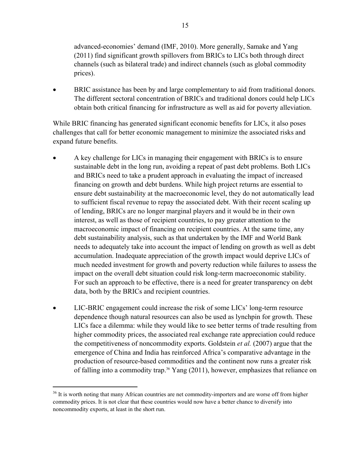advanced-economies' demand (IMF, 2010). More generally, Samake and Yang (2011) find significant growth spillovers from BRICs to LICs both through direct channels (such as bilateral trade) and indirect channels (such as global commodity prices).

 BRIC assistance has been by and large complementary to aid from traditional donors. The different sectoral concentration of BRICs and traditional donors could help LICs obtain both critical financing for infrastructure as well as aid for poverty alleviation.

While BRIC financing has generated significant economic benefits for LICs, it also poses challenges that call for better economic management to minimize the associated risks and expand future benefits.

- A key challenge for LICs in managing their engagement with BRICs is to ensure sustainable debt in the long run, avoiding a repeat of past debt problems. Both LICs and BRICs need to take a prudent approach in evaluating the impact of increased financing on growth and debt burdens. While high project returns are essential to ensure debt sustainability at the macroeconomic level, they do not automatically lead to sufficient fiscal revenue to repay the associated debt. With their recent scaling up of lending, BRICs are no longer marginal players and it would be in their own interest, as well as those of recipient countries, to pay greater attention to the macroeconomic impact of financing on recipient countries. At the same time, any debt sustainability analysis, such as that undertaken by the IMF and World Bank needs to adequately take into account the impact of lending on growth as well as debt accumulation. Inadequate appreciation of the growth impact would deprive LICs of much needed investment for growth and poverty reduction while failures to assess the impact on the overall debt situation could risk long-term macroeconomic stability. For such an approach to be effective, there is a need for greater transparency on debt data, both by the BRICs and recipient countries.
- LIC-BRIC engagement could increase the risk of some LICs' long-term resource dependence though natural resources can also be used as lynchpin for growth. These LICs face a dilemma: while they would like to see better terms of trade resulting from higher commodity prices, the associated real exchange rate appreciation could reduce the competitiveness of noncommodity exports. Goldstein *et al.* (2007) argue that the emergence of China and India has reinforced Africa's comparative advantage in the production of resource-based commodities and the continent now runs a greater risk of falling into a commodity trap.<sup>36</sup> Yang  $(2011)$ , however, emphasizes that reliance on

<sup>&</sup>lt;sup>36</sup> It is worth noting that many African countries are net commodity-importers and are worse off from higher commodity prices. It is not clear that these countries would now have a better chance to diversify into noncommodity exports, at least in the short run.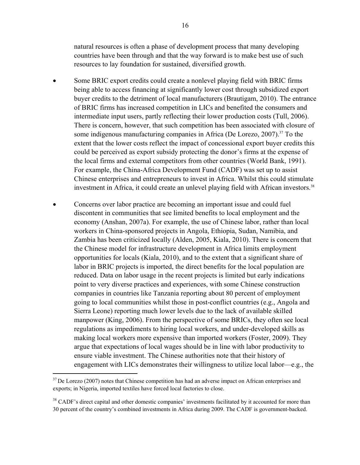natural resources is often a phase of development process that many developing countries have been through and that the way forward is to make best use of such resources to lay foundation for sustained, diversified growth.

- Some BRIC export credits could create a nonlevel playing field with BRIC firms being able to access financing at significantly lower cost through subsidized export buyer credits to the detriment of local manufacturers (Brautigam, 2010). The entrance of BRIC firms has increased competition in LICs and benefited the consumers and intermediate input users, partly reflecting their lower production costs (Tull, 2006). There is concern, however, that such competition has been associated with closure of some indigenous manufacturing companies in Africa (De Lorezo, 2007).<sup>37</sup> To the extent that the lower costs reflect the impact of concessional export buyer credits this could be perceived as export subsidy protecting the donor's firms at the expense of the local firms and external competitors from other countries (World Bank, 1991). For example, the China-Africa Development Fund (CADF) was set up to assist Chinese enterprises and entrepreneurs to invest in Africa. Whilst this could stimulate investment in Africa, it could create an unlevel playing field with African investors.<sup>38</sup>
- Concerns over labor practice are becoming an important issue and could fuel discontent in communities that see limited benefits to local employment and the economy (Anshan, 2007a). For example, the use of Chinese labor, rather than local workers in China-sponsored projects in Angola, Ethiopia, Sudan, Namibia, and Zambia has been criticized locally (Alden, 2005, Kiala, 2010). There is concern that the Chinese model for infrastructure development in Africa limits employment opportunities for locals (Kiala, 2010), and to the extent that a significant share of labor in BRIC projects is imported, the direct benefits for the local population are reduced. Data on labor usage in the recent projects is limited but early indications point to very diverse practices and experiences, with some Chinese construction companies in countries like Tanzania reporting about 80 percent of employment going to local communities whilst those in post-conflict countries (e.g., Angola and Sierra Leone) reporting much lower levels due to the lack of available skilled manpower (King, 2006). From the perspective of some BRICs, they often see local regulations as impediments to hiring local workers, and under-developed skills as making local workers more expensive than imported workers (Foster, 2009). They argue that expectations of local wages should be in line with labor productivity to ensure viable investment. The Chinese authorities note that their history of engagement with LICs demonstrates their willingness to utilize local labor—e.g., the

<sup>&</sup>lt;sup>37</sup> De Lorezo (2007) notes that Chinese competition has had an adverse impact on African enterprises and exports; in Nigeria, imported textiles have forced local factories to close.

<sup>&</sup>lt;sup>38</sup> CADF's direct capital and other domestic companies' investments facilitated by it accounted for more than 30 percent of the country's combined investments in Africa during 2009. The CADF is government-backed.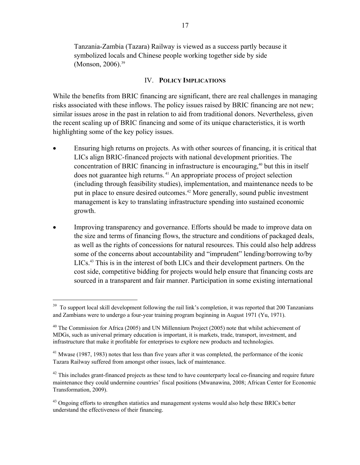Tanzania-Zambia (Tazara) Railway is viewed as a success partly because it symbolized locals and Chinese people working together side by side (Monson, 2006).<sup>39</sup>

#### IV. **POLICY IMPLICATIONS**

While the benefits from BRIC financing are significant, there are real challenges in managing risks associated with these inflows. The policy issues raised by BRIC financing are not new; similar issues arose in the past in relation to aid from traditional donors. Nevertheless, given the recent scaling up of BRIC financing and some of its unique characteristics, it is worth highlighting some of the key policy issues.

- Ensuring high returns on projects. As with other sources of financing, it is critical that LICs align BRIC-financed projects with national development priorities. The concentration of BRIC financing in infrastructure is encouraging, $40$  but this in itself does not guarantee high returns. 41 An appropriate process of project selection (including through feasibility studies), implementation, and maintenance needs to be put in place to ensure desired outcomes.<sup>42</sup> More generally, sound public investment management is key to translating infrastructure spending into sustained economic growth.
- Improving transparency and governance. Efforts should be made to improve data on the size and terms of financing flows, the structure and conditions of packaged deals, as well as the rights of concessions for natural resources. This could also help address some of the concerns about accountability and "imprudent" lending/borrowing to/by LICs.43 This is in the interest of both LICs and their development partners. On the cost side, competitive bidding for projects would help ensure that financing costs are sourced in a transparent and fair manner. Participation in some existing international

<sup>&</sup>lt;sup>39</sup> To support local skill development following the rail link's completion, it was reported that 200 Tanzanians and Zambians were to undergo a four-year training program beginning in August 1971 (Yu, 1971).

 $40$  The Commission for Africa (2005) and UN Millennium Project (2005) note that whilst achievement of MDGs, such as universal primary education is important, it is markets, trade, transport, investment, and infrastructure that make it profitable for enterprises to explore new products and technologies.

 $41$  Mwase (1987, 1983) notes that less than five years after it was completed, the performance of the iconic Tazara Railway suffered from amongst other issues, lack of maintenance.

 $42$  This includes grant-financed projects as these tend to have counterparty local co-financing and require future maintenance they could undermine countries' fiscal positions (Mwanawina, 2008; African Center for Economic Transformation, 2009).

<sup>&</sup>lt;sup>43</sup> Ongoing efforts to strengthen statistics and management systems would also help these BRICs better understand the effectiveness of their financing.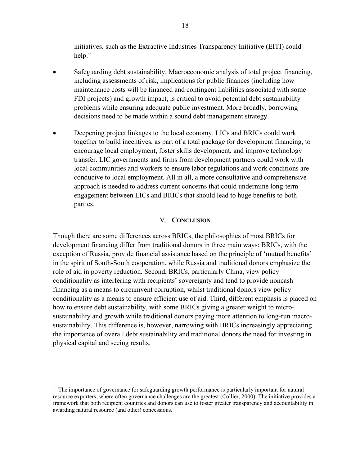initiatives, such as the Extractive Industries Transparency Initiative (EITI) could help.44

- Safeguarding debt sustainability. Macroeconomic analysis of total project financing, including assessments of risk, implications for public finances (including how maintenance costs will be financed and contingent liabilities associated with some FDI projects) and growth impact, is critical to avoid potential debt sustainability problems while ensuring adequate public investment. More broadly, borrowing decisions need to be made within a sound debt management strategy.
- Deepening project linkages to the local economy. LICs and BRICs could work together to build incentives, as part of a total package for development financing, to encourage local employment, foster skills development, and improve technology transfer. LIC governments and firms from development partners could work with local communities and workers to ensure labor regulations and work conditions are conducive to local employment. All in all, a more consultative and comprehensive approach is needed to address current concerns that could undermine long-term engagement between LICs and BRICs that should lead to huge benefits to both parties.

#### V. **CONCLUSION**

Though there are some differences across BRICs, the philosophies of most BRICs for development financing differ from traditional donors in three main ways: BRICs, with the exception of Russia, provide financial assistance based on the principle of 'mutual benefits' in the spirit of South-South cooperation, while Russia and traditional donors emphasize the role of aid in poverty reduction. Second, BRICs, particularly China, view policy conditionality as interfering with recipients' sovereignty and tend to provide noncash financing as a means to circumvent corruption, whilst traditional donors view policy conditionality as a means to ensure efficient use of aid. Third, different emphasis is placed on how to ensure debt sustainability, with some BRICs giving a greater weight to microsustainability and growth while traditional donors paying more attention to long-run macrosustainability. This difference is, however, narrowing with BRICs increasingly appreciating the importance of overall debt sustainability and traditional donors the need for investing in physical capital and seeing results.

<sup>&</sup>lt;sup>44</sup> The importance of governance for safeguarding growth performance is particularly important for natural resource exporters, where often governance challenges are the greatest (Collier, 2000). The initiative provides a framework that both recipient countries and donors can use to foster greater transparency and accountability in awarding natural resource (and other) concessions.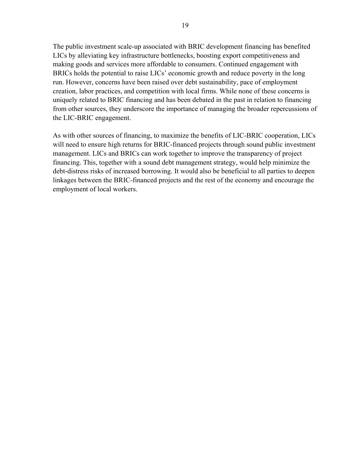The public investment scale-up associated with BRIC development financing has benefited LICs by alleviating key infrastructure bottlenecks, boosting export competitiveness and making goods and services more affordable to consumers. Continued engagement with BRICs holds the potential to raise LICs' economic growth and reduce poverty in the long run. However, concerns have been raised over debt sustainability, pace of employment creation, labor practices, and competition with local firms. While none of these concerns is uniquely related to BRIC financing and has been debated in the past in relation to financing from other sources, they underscore the importance of managing the broader repercussions of the LIC-BRIC engagement.

As with other sources of financing, to maximize the benefits of LIC-BRIC cooperation, LICs will need to ensure high returns for BRIC-financed projects through sound public investment management. LICs and BRICs can work together to improve the transparency of project financing. This, together with a sound debt management strategy, would help minimize the debt-distress risks of increased borrowing. It would also be beneficial to all parties to deepen linkages between the BRIC-financed projects and the rest of the economy and encourage the employment of local workers.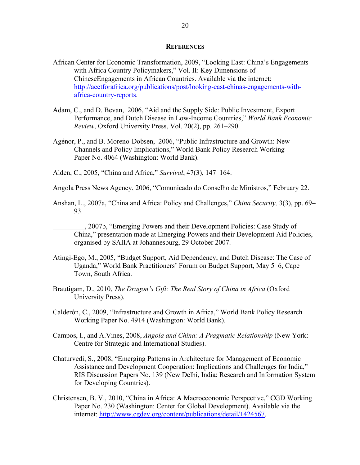#### **REFERENCES**

- African Center for Economic Transformation, 2009, "Looking East: China's Engagements with Africa Country Policymakers," Vol. II: Key Dimensions of ChineseEngagements in African Countries. Available via the internet: http://acetforafrica.org/publications/post/looking-east-chinas-engagements-withafrica-country-reports.
- Adam, C., and D. Bevan, 2006, "Aid and the Supply Side: Public Investment, Export Performance, and Dutch Disease in Low-Income Countries," *World Bank Economic Review*, Oxford University Press, Vol. 20(2), pp. 261–290.
- Agénor, P., and B. Moreno-Dobsen, 2006, "Public Infrastructure and Growth: New Channels and Policy Implications," World Bank Policy Research Working Paper No. 4064 (Washington: World Bank).
- Alden, C., 2005, "China and Africa," *Survival*, 47(3), 147–164.
- Angola Press News Agency, 2006, "Comunicado do Conselho de Ministros," February 22.
- Anshan, L., 2007a, "China and Africa: Policy and Challenges," *China Security,* 3(3), pp. 69– 93.
	- \_\_\_\_\_\_\_\_\_, 2007b, "Emerging Powers and their Development Policies: Case Study of China," presentation made at Emerging Powers and their Development Aid Policies, organised by SAIIA at Johannesburg, 29 October 2007.
- Atingi-Ego, M., 2005, "Budget Support, Aid Dependency, and Dutch Disease: The Case of Uganda," World Bank Practitioners' Forum on Budget Support, May 5–6, Cape Town, South Africa.
- Brautigam, D., 2010, *The Dragon's Gift: The Real Story of China in Africa* (Oxford University Press)*.*
- Calderón, C., 2009, "Infrastructure and Growth in Africa," World Bank Policy Research Working Paper No. 4914 (Washington: World Bank).
- Campos, I., and A.Vines, 2008, *Angola and China: A Pragmatic Relationship* (New York: Centre for Strategic and International Studies).
- Chaturvedi, S., 2008, "Emerging Patterns in Architecture for Management of Economic Assistance and Development Cooperation: Implications and Challenges for India," RIS Discussion Papers No. 139 (New Delhi, India: Research and Information System for Developing Countries).
- Christensen, B. V., 2010, "China in Africa: A Macroeconomic Perspective," CGD Working Paper No. 230 (Washington: Center for Global Development). Available via the internet: http://www.cgdev.org/content/publications/detail/1424567.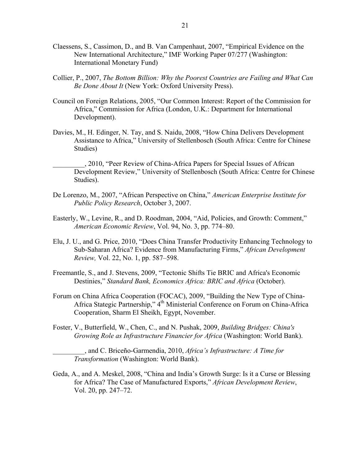- Claessens, S., Cassimon, D., and B. Van Campenhaut, 2007, "Empirical Evidence on the New International Architecture," IMF Working Paper 07/277 (Washington: International Monetary Fund)
- Collier, P., 2007, *The Bottom Billion: Why the Poorest Countries are Failing and What Can Be Done About It* (New York: Oxford University Press).
- Council on Foreign Relations, 2005, "Our Common Interest: Report of the Commission for Africa," Commission for Africa (London, U.K.: Department for International Development).
- Davies, M., H. Edinger, N. Tay, and S. Naidu, 2008, "How China Delivers Development Assistance to Africa," University of Stellenbosch (South Africa: Centre for Chinese Studies)

\_\_\_\_\_\_\_\_\_, 2010, "Peer Review of China-Africa Papers for Special Issues of African Development Review," University of Stellenbosch (South Africa: Centre for Chinese Studies).

- De Lorenzo, M., 2007, "African Perspective on China," *American Enterprise Institute for Public Policy Research*, October 3, 2007.
- Easterly, W., Levine, R., and D. Roodman, 2004, "Aid, Policies, and Growth: Comment," *American Economic Review*, Vol. 94, No. 3, pp. 774–80.
- Elu, J. U., and G. Price, 2010, "Does China Transfer Productivity Enhancing Technology to Sub-Saharan Africa? Evidence from Manufacturing Firms," *African Development Review,* Vol. 22, No. 1, pp. 587–598.
- Freemantle, S., and J. Stevens, 2009, "Tectonic Shifts Tie BRIC and Africa's Economic Destinies," *Standard Bank, Economics Africa: BRIC and Africa* (October).
- Forum on China Africa Cooperation (FOCAC), 2009, "Building the New Type of China-Africa Stategic Partnership," 4<sup>th</sup> Ministerial Conference on Forum on China-Africa Cooperation, Sharm El Sheikh, Egypt, November.
- Foster, V., Butterfield, W., Chen, C., and N. Pushak, 2009, *Building Bridges: China's Growing Role as Infrastructure Financier for Africa* (Washington: World Bank).

\_\_\_\_\_\_\_\_\_, and C. Briceño-Garmendia, 2010, *Africa's Infrastructure: A Time for Transformation* (Washington: World Bank).

Geda, A., and A. Meskel, 2008, "China and India's Growth Surge: Is it a Curse or Blessing for Africa? The Case of Manufactured Exports," *African Development Review*, Vol. 20, pp. 247–72.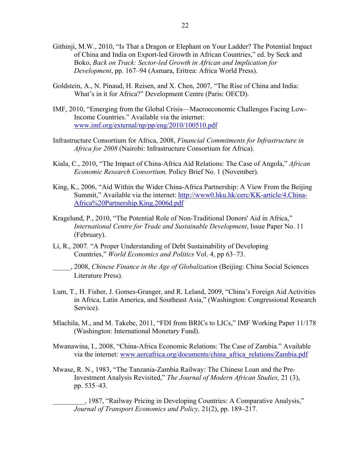- Githinji, M.W., 2010, "Is That a Dragon or Elephant on Your Ladder? The Potential Impact of China and India on Export-led Growth in African Countries," ed. by Seck and Boko, *Back on Track: Sector-led Growth in African and Implication for Development*, pp. 167–94 (Asmara, Eritrea: Africa World Press).
- Goldstein, A., N. Pinaud, H. Reisen, and X. Chen, 2007, "The Rise of China and India: What's in it for Africa?" Development Centre (Paris: OECD).
- IMF, 2010, "Emerging from the Global Crisis—Macroeconomic Challenges Facing Low-Income Countries." Available via the internet: www.imf.org/external/np/pp/eng/2010/100510.pdf
- Infrastructure Consortium for Africa, 2008, *Financial Commitments for Infrastructure in Africa for 2008* (Nairobi: Infrastructure Consortium for Africa).
- Kiala, C., 2010, "The Impact of China-Africa Aid Relations: The Case of Angola," *African Economic Research Consortium,* Policy Brief No. 1 (November).
- King, K., 2006, "Aid Within the Wider China-Africa Partnership: A View From the Beijing Summit," Available via the internet: http://www0.hku.hk/cerc/KK-article/4.China-Africa%20Partnership.King.2006d.pdf
- Kragelund, P., 2010, "The Potential Role of Non-Traditional Donors' Aid in Africa," *International Centre for Trade and Sustainable Development*, Issue Paper No. 11 (February).
- Li, R., 2007. "A Proper Understanding of Debt Sustainability of Developing Countries," *World Economics and Politics* Vol. 4, pp 63–73.
- \_\_\_\_\_, 2008, *Chinese Finance in the Age of Globalization* (Beijing: China Social Sciences Literature Press).
- Lum, T., H. Fisher, J. Gomes-Granger, and R. Leland, 2009, "China's Foreign Aid Activities in Africa, Latin America, and Southeast Asia," (Washington: Congressional Research Service).
- Mlachila, M., and M. Takebe, 2011, "FDI from BRICs to LICs," IMF Working Paper 11/178 (Washington: International Monetary Fund).
- Mwanawina, I., 2008, "China-Africa Economic Relations: The Case of Zambia." Available via the internet: www.aercafrica.org/documents/china\_africa\_relations/Zambia.pdf
- Mwase, R. N., 1983, "The Tanzania-Zambia Railway: The Chinese Loan and the Pre-Investment Analysis Revisited," *The Journal of Modern African Studies,* 21 (3), pp. 535–43.

\_\_\_\_\_\_\_\_\_, 1987, "Railway Pricing in Developing Countries: A Comparative Analysis," *Journal of Transport Economics and Policy,* 21(2), pp. 189–217.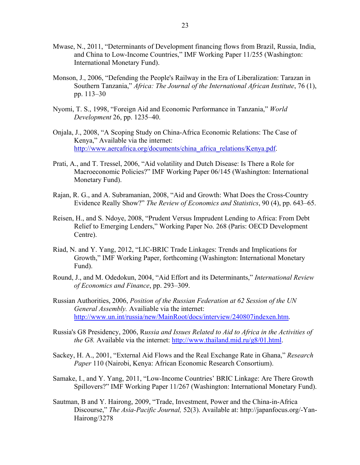- Mwase, N., 2011, "Determinants of Development financing flows from Brazil, Russia, India, and China to Low-Income Countries," IMF Working Paper 11/255 (Washington: International Monetary Fund).
- Monson, J., 2006, "Defending the People's Railway in the Era of Liberalization: Tarazan in Southern Tanzania," *Africa: The Journal of the International African Institute*, 76 (1), pp. 113–30
- Nyomi, T. S., 1998, "Foreign Aid and Economic Performance in Tanzania," *World Development* 26, pp. 1235–40.
- Onjala, J., 2008, "A Scoping Study on China-Africa Economic Relations: The Case of Kenya," Available via the internet: http://www.aercafrica.org/documents/china\_africa\_relations/Kenya.pdf.
- Prati, A., and T. Tressel, 2006, "Aid volatility and Dutch Disease: Is There a Role for Macroeconomic Policies?" IMF Working Paper 06/145 (Washington: International Monetary Fund).
- Rajan, R. G., and A. Subramanian, 2008, "Aid and Growth: What Does the Cross-Country Evidence Really Show?" *The Review of Economics and Statistics*, 90 (4), pp. 643–65.
- Reisen, H., and S. Ndoye, 2008, "Prudent Versus Imprudent Lending to Africa: From Debt Relief to Emerging Lenders," Working Paper No. 268 (Paris: OECD Development Centre).
- Riad, N. and Y. Yang, 2012, "LIC-BRIC Trade Linkages: Trends and Implications for Growth," IMF Working Paper, forthcoming (Washington: International Monetary Fund).
- Round, J., and M. Odedokun, 2004, "Aid Effort and its Determinants," *International Review of Economics and Finance*, pp. 293–309.
- Russian Authorities, 2006, *Position of the Russian Federation at 62 Session of the UN General Assembly.* Availiable via the internet: http://www.un.int/russia/new/MainRoot/docs/interview/240807indexen.htm.
- Russia's G8 Presidency, 2006, R*ussia and Issues Related to Aid to Africa in the Activities of the G8.* Available via the internet: http://www.thailand.mid.ru/g8/01.html.
- Sackey, H. A., 2001, "External Aid Flows and the Real Exchange Rate in Ghana," *Research Paper* 110 (Nairobi, Kenya: African Economic Research Consortium).
- Samake, I., and Y. Yang, 2011, "Low-Income Countries' BRIC Linkage: Are There Growth Spillovers?" IMF Working Paper 11/267 (Washington: International Monetary Fund).
- Sautman, B and Y. Hairong, 2009, "Trade, Investment, Power and the China-in-Africa Discourse," *The Asia-Pacific Journal,* 52(3). Available at: http://japanfocus.org/-Yan-Hairong/3278